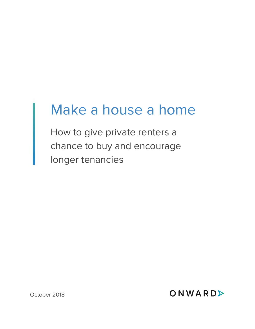# Make a house a home

How to give private renters a chance to buy and encourage longer tenancies

October 2018

ONWARD>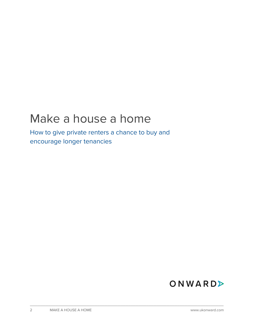### Make a house a home

How to give private renters a chance to buy and encourage longer tenancies

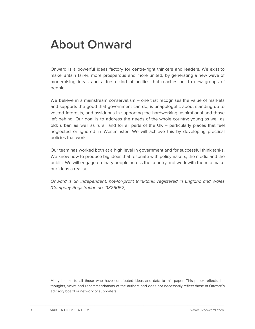### **About Onward**

Onward is a powerful ideas factory for centre-right thinkers and leaders. We exist to make Britain fairer, more prosperous and more united, by generating a new wave of modernising ideas and a fresh kind of politics that reaches out to new groups of people.

We believe in a mainstream conservatism - one that recognises the value of markets and supports the good that government can do, is unapologetic about standing up to vested interests, and assiduous in supporting the hardworking, aspirational and those left behind. Our goal is to address the needs of the whole country: young as well as old; urban as well as rural; and for all parts of the UK – particularly places that feel neglected or ignored in Westminster. We will achieve this by developing practical policies that work.

Our team has worked both at a high level in government and for successful think tanks. We know how to produce big ideas that resonate with policymakers, the media and the public. We will engage ordinary people across the country and work with them to make our ideas a reality.

Onward is an independent, not-for-profit thinktank, registered in England and Wales (Company Registration no. 11326052).

Many thanks to all those who have contributed ideas and data to this paper. This paper reflects the thoughts, views and recommendations of the authors and does not necessarily reflect those of Onward's advisory board or network of supporters.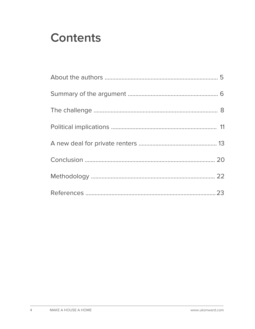### **Contents**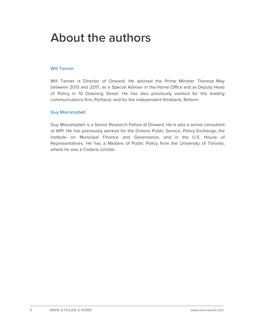### **About the authors**

#### **Will Tanner**

Will Tanner is Director of Onward. He advised the Prime Minister Theresa May between 2013 and 2017, as a Special Adviser in the Home Office and as Deputy Head of Policy in 10 Downing Street. He has also previously worked for the leading communications firm, Portland, and for the independent thinktank, Reform.

#### **Guy Miscampbell**

Guy Miscampbell is a Senior Research Fellow at Onward. He is also a senior consultant at WPI. He has previously worked for the Ontario Public Service, Policy Exchange, the Institute on Municipal Finance and Governance, and in the U.S. House of Representatives. He has a Masters of Public Policy from the University of Toronto, where he was a Cadario scholar.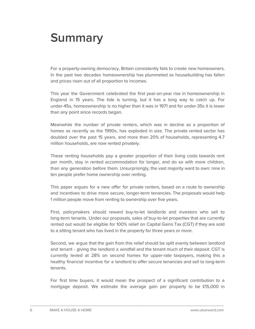### **Summary**

For a property-owning democracy, Britain consistently fails to create new homeowners. In the past two decades homeownership has plummeted as housebuilding has fallen and prices risen out of all proportion to incomes.

This year the Government celebrated the first year-on-year rise in homeownership in England in 15 years. The tide is turning, but it has a long way to catch up. For under-45s, homeownership is no higher than it was in 1971 and for under-35s it is lower than any point since records began.

Meanwhile the number of private renters, which was in decline as a proportion of homes as recently as the 1990s, has exploded in size. The private rented sector has doubled over the past 15 years, and more than 20% of households, representing 4.7 million households, are now rented privately.

These renting households pay a greater proportion of their living costs towards rent per month, stay in rented accommodation for longer, and do so with more children, than any generation before them. Unsurprisingly, the vast majority want to own: nine in ten people prefer home ownership over renting.

This paper argues for a new offer for private renters, based on a route to ownership and incentives to drive more secure, longer-term tenancies. The proposals would help 1 million people move from renting to ownership over five years.

First, policymakers should reward buy-to-let landlords and investors who sell to long-term tenants. Under our proposals, sales of buy-to-let properties that are currently rented out would be eligible for 100% relief on Capital Gains Tax (CGT) if they are sold to a sitting tenant who has lived in the property for three years or more.

Second, we argue that the gain from this relief should be split evenly between landlord and tenant - giving the landlord a windfall and the tenant much of their deposit. CGT is currently levied at 28% on second homes for upper-rate taxpayers, making this a healthy financial incentive for a landlord to offer secure tenancies and sell to long-term tenants.

For first time buyers, it would mean the prospect of a significant contribution to a mortgage deposit. We estimate the average gain per property to be  $£15,000$  in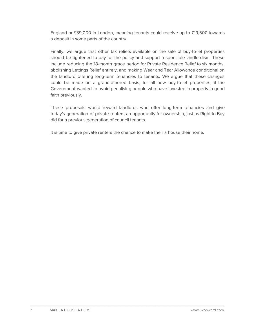England or £39,000 in London, meaning tenants could receive up to £19,500 towards a deposit in some parts of the country.

Finally, we argue that other tax reliefs available on the sale of buy-to-let properties should be tightened to pay for the policy and support responsible landlordism. These include reducing the 18-month grace period for Private Residence Relief to six months, abolishing Lettings Relief entirely, and making Wear and Tear Allowance conditional on the landlord offering long-term tenancies to tenants. We argue that these changes could be made on a grandfathered basis, for all new buy-to-let properties, if the Government wanted to avoid penalising people who have invested in property in good faith previously.

These proposals would reward landlords who offer long-term tenancies and give today's generation of private renters an opportunity for ownership, just as Right to Buy did for a previous generation of council tenants.

It is time to give private renters the chance to make their a house their home.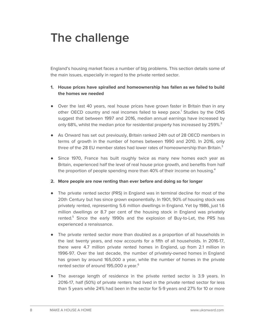## **The challenge**

England's housing market faces a number of big problems. This section details some of the main issues, especially in regard to the private rented sector.

#### **1. House prices have spiralled and homeownership has fallen as we failed to build the homes we needed**

- Over the last 40 years, real house prices have grown faster in Britain than in any other OECD country and real incomes failed to keep pace. <sup>1</sup> Studies by the ONS suggest that between 1997 and 2016, median annual earnings have increased by only 68%, whilst the median price for residential property has increased by 259%.<sup>2</sup>
- As Onward has set out previously, Britain ranked 24th out of 28 OECD members in terms of growth in the number of homes between 1990 and 2010. In 2016, only three of the 28 EU member states had lower rates of homeownership than Britain. $^3$
- Since 1970, France has built roughly twice as many new homes each year as Britain, experienced half the level of real house price growth, and benefits from half the proportion of people spending more than 40% of their income on housing. $^{\text{4}}$
- **2. More people are now renting than ever before and doing so for longer**
- The private rented sector (PRS) in England was in terminal decline for most of the 20th Century but has since grown exponentially. In 1901, 90% of housing stock was privately rented, representing 5.6 million dwellings in England. Yet by 1986, just 1.6 million dwellings or 8.7 per cent of the housing stock in England was privately rented.<sup>5</sup> Since the early 1990s and the explosion of Buy-to-Let, the PRS has experienced a renaissance.
- The private rented sector more than doubled as a proportion of all households in the last twenty years, and now accounts for a fifth of all households. In 2016-17, there were 4.7 million private rented homes in England, up from 2.1 million in 1996-97. Over the last decade, the number of privately-owned homes in England has grown by around 165,000 a year, while the number of homes in the private rented sector of around 195,000 a year. 6
- The average length of residence in the private rented sector is 3.9 years. In 2016-17, half (50%) of private renters had lived in the private rented sector for less than 5 years while 24% had been in the sector for 5-9 years and 27% for 10 or more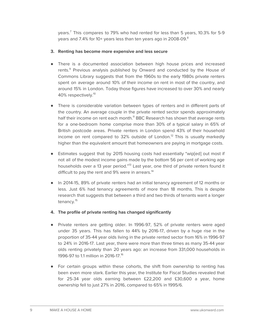years. <sup>7</sup> This compares to 79% who had rented for less than 5 years, 10.3% for 5-9 years and 7.4% for 10+ years less than ten years ago in 2008-09. $^{\text{8}}$ 

#### **3. Renting has become more expensive and less secure**

- There is a documented association between high house prices and increased rents. <sup>9</sup> Previous analysis published by Onward and conducted by the House of Commons Library suggests that from the 1960s to the early 1980s private renters spent on average around 10% of their income on rent in most of the country, and around 15% in London. Today those figures have increased to over 30% and nearly 40% respectively.<sup>10</sup>
- There is considerable variation between types of renters and in different parts of the country. An average couple in the private rented sector spends approximately half their income on rent each month.<sup>11</sup> BBC Research has shown that average rents for a one-bedroom home comprise more than 30% of a typical salary in 65% of British postcode areas. Private renters in London spend 43% of their household income on rent compared to 32% outside of London.<sup>12</sup> This is usually markedly higher than the equivalent amount that homeowners are paying in mortgage costs.
- Estimates suggest that by 2015 housing costs had essentially "wip[ed] out most if not all of the modest income gains made by the bottom 56 per cent of working age households over a 13 year period."<sup>13</sup> Last year, one third of private renters found it difficult to pay the rent and 9% were in arrears.<sup>14</sup>
- In 2014-15, 89% of private renters had an initial tenancy agreement of 12 months or less. Just 6% had tenancy agreements of more than 18 months. This is despite research that suggests that between a third and two thirds of tenants want a longer tenancy.<sup>15</sup>
- **4. The profile of private renting has changed significantly**
- Private renters are getting older. In 1996-97, 52% of private renters were aged under 35 years. This has fallen to 44% by 2016-17, driven by a huge rise in the proportion of 35-44 year olds living in the private rented sector from 16% in 1996-97 to 24% in 2016-17. Last year, there were more than three times as many 35-44 year olds renting privately than 20 years ago: an increase from 331,000 households in 1996-97 to 1.1 million in 2016-17. 16
- For certain groups within these cohorts, the shift from ownership to renting has been even more stark. Earlier this year, the Institute for Fiscal Studies revealed that for 25-34 year olds earning between £22,200 and £30,600 a year, home ownership fell to just 27% in 2016, compared to 65% in 1995/6.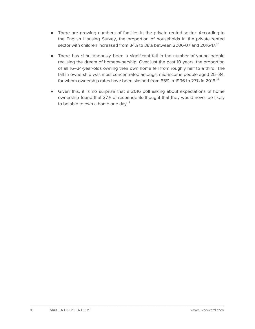- There are growing numbers of families in the private rented sector. According to the English Housing Survey, the proportion of households in the private rented sector with children increased from 34% to 38% between 2006-07 and 2016-17.17
- There has simultaneously been a significant fall in the number of young people realising the dream of homeownership. Over just the past 10 years, the proportion of all 16–34-year-olds owning their own home fell from roughly half to a third. The fall in ownership was most concentrated amongst mid-income people aged 25–34, for whom ownership rates have been slashed from 65% in 1996 to 27% in 2016. $^{\rm 18}$
- Given this, it is no surprise that a 2016 poll asking about expectations of home ownership found that 37% of respondents thought that they would never be likely to be able to own a home one day.<sup>19</sup>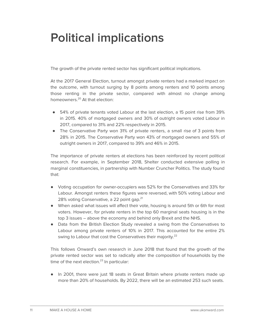### **Political implications**

The growth of the private rented sector has significant political implications.

At the 2017 General Election, turnout amongst private renters had a marked impact on the outcome, with turnout surging by 8 points among renters and 10 points among those renting in the private sector, compared with almost no change among homeowners. <sup>20</sup> At that election:

- 54% of private tenants voted Labour at the last election, a 15 point rise from 39% in 2015. 40% of mortgaged owners and 30% of outright owners voted Labour in 2017, compared to 31% and 22% respectively in 2015.
- The Conservative Party won 31% of private renters, a small rise of 3 points from 28% in 2015. The Conservative Party won 43% of mortgaged owners and 55% of outright owners in 2017, compared to 39% and 46% in 2015.

The importance of private renters at elections has been reinforced by recent political research. For example, in September 2018, Shelter conducted extensive polling in marginal constituencies, in partnership with Number Cruncher Politics. The study found that:

- Voting occupation for owner-occupiers was 52% for the Conservatives and 33% for Labour. Amongst renters these figures were reversed, with 50% voting Labour and 28% voting Conservative, a 22 point gap.<sup>21</sup>
- When asked what issues will affect their vote, housing is around 5th or 6th for most voters. However, for private renters in the top 60 marginal seats housing is in the top 3 issues – above the economy and behind only Brexit and the NHS.
- Data from the British Election Study revealed a swing from the Conservatives to Labour among private renters of 10% in 2017. This accounted for the entire 2% swing to Labour that cost the Conservatives their majority.<sup>22</sup>

This follows Onward's own research in June 2018 that found that the growth of the private rented sector was set to radically alter the composition of households by the time of the next election.<sup>23</sup> In particular:

● In 2001, there were just 18 seats in Great Britain where private renters made up more than 20% of households. By 2022, there will be an estimated 253 such seats.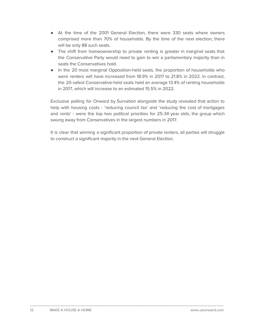- At the time of the 2001 General Election, there were 330 seats where owners comprised more than 70% of households. By the time of the next election, there will be only 88 such seats.
- The shift from homeownership to private renting is greater in marginal seats that the Conservative Party would need to gain to win a parliamentary majority than in seats the Conservatives hold.
- In the 20 most marginal Opposition-held seats, the proportion of households who were renters will have increased from 18.9% in 2017 to 21.8% in 2022. In contrast, the 20 safest Conservative-held seats held an average 13.4% of renting households in 2017, which will increase to an estimated 15.5% in 2022.

Exclusive polling for Onward by Survation alongside the study revealed that action to help with housing costs - 'reducing council tax' and 'reducing the cost of mortgages and rents' - were the top two political priorities for 25-34 year olds, the group which swung away from Conservatives in the largest numbers in 2017.

It is clear that winning a significant proportion of private renters, all parties will struggle to construct a significant majority in the next General Election.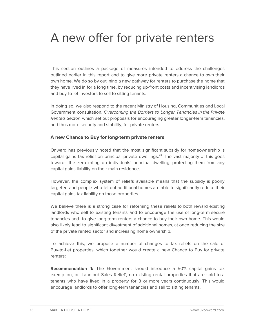### A new offer for private renters

This section outlines a package of measures intended to address the challenges outlined earlier in this report and to give more private renters a chance to own their own home. We do so by outlining a new pathway for renters to purchase the home that they have lived in for a long time, by reducing up-front costs and incentivising landlords and buy-to-let investors to sell to sitting tenants.

In doing so, we also respond to the recent Ministry of Housing, Communities and Local Government consultation, Overcoming the Barriers to Longer Tenancies in the Private Rented Sector, which set out proposals for encouraging greater longer-term tenancies, and thus more security and stability, for private renters.

#### **A new Chance to Buy for long-term private renters**

Onward has previously noted that the most significant subsidy for homeownership is capital gains tax relief on principal private dwellings. <sup>24</sup> The vast majority of this goes towards the zero rating on individuals' principal dwelling, protecting them from any capital gains liability on their main residence.

However, the complex system of reliefs available means that the subsidy is poorly targeted and people who let out additional homes are able to significantly reduce their capital gains tax liability on those properties.

We believe there is a strong case for reforming these reliefs to both reward existing landlords who sell to existing tenants and to encourage the use of long-term secure tenancies and to give long-term renters a chance to buy their own home. This would also likely lead to significant divestment of additional homes, at once reducing the size of the private rented sector and increasing home ownership.

To achieve this, we propose a number of changes to tax reliefs on the sale of Buy-to-Let properties, which together would create a new Chance to Buy for private renters:

**Recommendation 1:** The Government should introduce a 50% capital gains tax exemption, or 'Landlord Sales Relief', on existing rental properties that are sold to a tenants who have lived in a property for 3 or more years continuously. This would encourage landlords to offer long-term tenancies and sell to sitting tenants.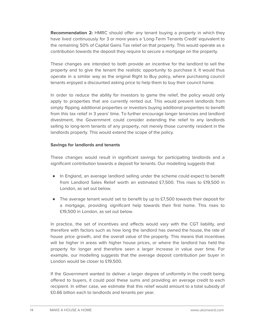**Recommendation 2:** HMRC should offer any tenant buying a property in which they have lived continuously for 3 or more years a 'Long-Term Tenants Credit' equivalent to the remaining 50% of Capital Gains Tax relief on that property. This would operate as a contribution towards the deposit they require to secure a mortgage on the property.

These changes are intended to both provide an incentive for the landlord to sell the property and to give the tenant the realistic opportunity to purchase it. It would thus operate in a similar way as the original Right to Buy policy, where purchasing council tenants enjoyed a discounted asking price to help them to buy their council home.

In order to reduce the ability for investors to game the relief, the policy would only apply to properties that are currently rented out. This would prevent landlords from simply flipping additional properties or investors buying additional properties to benefit from this tax relief in 3 years' time. To further encourage longer tenancies and landlord divestment, the Government could consider extending the relief to any landlords selling to long-term tenants of any property, not merely those currently resident in the landlords property. This would extend the scope of the policy.

#### **Savings for landlords and tenants**

These changes would result in significant savings for participating landlords and a significant contribution towards a deposit for tenants. Our modelling suggests that:

- In England, an average landlord selling under the scheme could expect to benefit from Landlord Sales Relief worth an estimated £7,500. This rises to £19,500 in London, as set out below.
- The average tenant would set to benefit by up to £7,500 towards their deposit for a mortgage, providing significant help towards their first home. This rises to £19,500 in London, as set out below.

In practice, the set of incentives and effects would vary with the CGT liability, and therefore with factors such as how long the landlord has owned the house, the rate of house price growth, and the overall value of the property. This means that incentives will be higher in areas with higher house prices, or where the landlord has held the property for longer and therefore seen a larger increase in value over time. For example, our modelling suggests that the average deposit contribution per buyer in London would be closer to £19,500.

If the Government wanted to deliver a larger degree of uniformity in the credit being offered to buyers, it could pool these sums and providing an average credit to each recipient. In either case, we estimate that this relief would amount to a total subsidy of £0.66 billion each to landlords and tenants per year.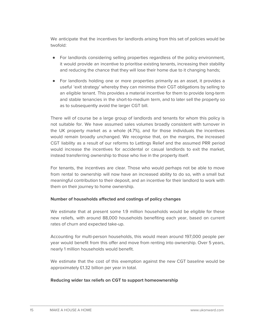We anticipate that the incentives for landlords arising from this set of policies would be twofold:

- For landlords considering selling properties regardless of the policy environment, it would provide an incentive to prioritise existing tenants, increasing their stability and reducing the chance that they will lose their home due to it changing hands;
- For landlords holding one or more properties primarily as an asset, it provides a useful 'exit strategy' whereby they can minimise their CGT obligations by selling to an eligible tenant. This provides a material incentive for them to provide long-term and stable tenancies in the short-to-medium term, and to later sell the property so as to subsequently avoid the larger CGT bill.

There will of course be a large group of landlords and tenants for whom this policy is not suitable for. We have assumed sales volumes broadly consistent with turnover in the UK property market as a whole (4.7%), and for those individuals the incentives would remain broadly unchanged. We recognise that, on the margins, the increased CGT liability as a result of our reforms to Lettings Relief and the assumed PRR period would increase the incentives for accidental or casual landlords to exit the market, instead transferring ownership to those who live in the property itself.

For tenants, the incentives are clear. Those who would perhaps not be able to move from rental to ownership will now have an increased ability to do so, with a small but meaningful contribution to their deposit, and an incentive for their landlord to work with them on their journey to home ownership.

#### **Number of households affected and costings of policy changes**

We estimate that at present some 1.9 million households would be eligible for these new reliefs, with around 88,000 households benefiting each year, based on current rates of churn and expected take-up.

Accounting for multi-person households, this would mean around 197,000 people per year would benefit from this offer and move from renting into ownership. Over 5 years, nearly 1 million households would benefit.

We estimate that the cost of this exemption against the new CGT baseline would be approximately £1.32 billion per year in total.

#### **Reducing wider tax reliefs on CGT to support homeownership**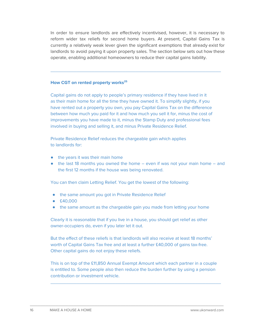In order to ensure landlords are effectively incentivised, however, it is necessary to reform wider tax reliefs for second home buyers. At present, Capital Gains Tax is currently a relatively weak lever given the significant exemptions that already exist for landlords to avoid paying it upon property sales. The section below sets out how these operate, enabling additional homeowners to reduce their capital gains liability.

 $\_$  , and the set of the set of the set of the set of the set of the set of the set of the set of the set of the set of the set of the set of the set of the set of the set of the set of the set of the set of the set of th

#### **How CGT on rented property works 25**

Capital gains do not apply to people's primary residence if they have lived in it as their main home for all the time they have owned it. To simplify slightly, if you have rented out a property you own, you pay Capital Gains Tax on the difference between how much you paid for it and how much you sell it for, minus the cost of improvements you have made to it, minus the Stamp Duty and professional fees involved in buying and selling it, and minus Private Residence Relief.

Private Residence Relief reduces the chargeable gain which applies to landlords for:

- the years it was their main home
- $\bullet$  the last 18 months you owned the home even if was not your main home and the first 12 months if the house was being renovated.

You can then claim Letting Relief. You get the lowest of the following:

- the same amount you got in Private Residence Relief
- £40,000
- the same amount as the chargeable gain you made from letting your home

Clearly it is reasonable that if you live in a house, you should get relief as other owner-occupiers do, even if you later let it out.

But the effect of these reliefs is that landlords will also receive at least 18 months' worth of Capital Gains Tax free and at least a further £40,000 of gains tax-free. Other capital gains do not enjoy these reliefs.

This is on top of the £11,850 Annual Exempt Amount which each partner in a couple is entitled to. Some people also then reduce the burden further by using a pension contribution or investment vehicle.

 $\_$  , and the set of the set of the set of the set of the set of the set of the set of the set of the set of the set of the set of the set of the set of the set of the set of the set of the set of the set of the set of th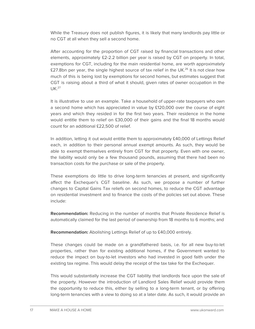While the Treasury does not publish figures, it is likely that many landlords pay little or no CGT at all when they sell a second home.

After accounting for the proportion of CGT raised by financial transactions and other elements, approximately £2-2.2 billion per year is raised by CGT on property. In total, exemptions for CGT, including for the main residential home, are worth approximately £27.8bn per year, the single highest source of tax relief in the UK. $^{26}$  It is not clear how much of this is being lost by exemptions for second homes, but estimates suggest that CGT is raising about a third of what it should, given rates of owner occupation in the  $UK.<sup>27</sup>$ 

It is illustrative to use an example. Take a household of upper-rate taxpayers who own a second home which has appreciated in value by  $£120,000$  over the course of eight years and which they resided in for the first two years. Their residence in the home would entitle them to relief on £30,000 of their gains and the final 18 months would count for an additional £22,500 of relief.

In addition, letting it out would entitle them to approximately £40,000 of Lettings Relief each, in addition to their personal annual exempt amounts. As such, they would be able to exempt themselves entirely from CGT for that property. Even with one owner, the liability would only be a few thousand pounds, assuming that there had been no transaction costs for the purchase or sale of the property.

These exemptions do little to drive long-term tenancies at present, and significantly affect the Exchequer's CGT baseline. As such, we propose a number of further changes to Capital Gains Tax reliefs on second homes, to reduce the CGT advantage on residential investment and to finance the costs of the policies set out above. These include:

**Recommendation:** Reducing in the number of months that Private Residence Relief is automatically claimed for the last period of ownership from 18 months to 6 months; and

**Recommendation:** Abolishing Lettings Relief of up to £40,000 entirely.

These changes could be made on a grandfathered basis, i.e. for all new buy-to-let properties, rather than for existing additional homes, if the Government wanted to reduce the impact on buy-to-let investors who had invested in good faith under the existing tax regime. This would delay the receipt of the tax take for the Exchequer.

This would substantially increase the CGT liability that landlords face upon the sale of the property. However the introduction of Landlord Sales Relief would provide them the opportunity to reduce this, either by selling to a long-term tenant, or by offering long-term tenancies with a view to doing so at a later date. As such, it would provide an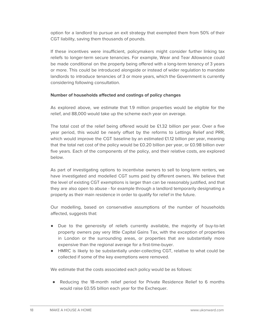option for a landlord to pursue an exit strategy that exempted them from 50% of their CGT liability, saving them thousands of pounds.

If these incentives were insufficient, policymakers might consider further linking tax reliefs to longer-term secure tenancies. For example, Wear and Tear Allowance could be made conditional on the property being offered with a long-term tenancy of 3 years or more. This could be introduced alongside or instead of wider regulation to mandate landlords to introduce tenancies of 3 or more years, which the Government is currently considering following consultation.

#### **Number of households affected and costings of policy changes**

As explored above, we estimate that 1.9 million properties would be eligible for the relief, and 88,000 would take up the scheme each year on average.

The total cost of the relief being offered would be £1.32 billion per year. Over a five year period, this would be nearly offset by the reforms to Lettings Relief and PRR, which would improve the CGT baseline by an estimated £1.12 billion per year, meaning that the total net cost of the policy would be £0.20 billion per year, or £0.98 billion over five years. Each of the components of the policy, and their relative costs, are explored below.

As part of investigating options to incentivise owners to sell to long-term renters, we have investigated and modelled CGT sums paid by different owners. We believe that the level of existing CGT exemptions is larger than can be reasonably justified, and that they are also open to abuse - for example through a landlord temporarily designating a property as their main residence in order to qualify for relief in the future.

Our modelling, based on conservative assumptions of the number of households affected, suggests that:

- Due to the generosity of reliefs currently available, the majority of buy-to-let property owners pay very little Capital Gains Tax, with the exception of properties in London or the surrounding areas, or properties that are substantially more expensive than the regional average for a first-time-buyer.
- HMRC is likely to be substantially under-collecting CGT, relative to what could be collected if some of the key exemptions were removed.

We estimate that the costs associated each policy would be as follows:

\_\_\_\_\_\_\_\_\_\_\_\_\_\_\_\_\_\_\_\_\_\_\_\_\_\_\_\_\_\_\_\_\_\_\_\_\_\_\_\_\_\_\_\_\_\_\_\_\_\_\_\_\_\_\_\_\_\_\_\_\_\_\_\_\_\_\_\_\_\_\_\_\_\_\_

● Reducing the 18-month relief period for Private Residence Relief to 6 months would raise £0.55 billion each year for the Exchequer.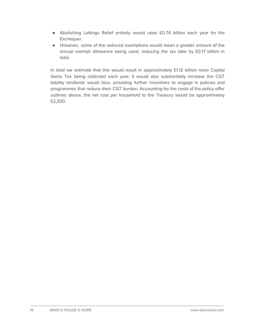- Abolishing Lettings Relief entirely would raise £0.74 billion each year for the Exchequer.
- However, some of the reduced exemptions would mean a greater amount of the annual exempt allowance being used, reducing the tax take by £0.17 billion in total.

In total we estimate that this would result in approximately £1.12 billion more Capital Gains Tax being collected each year. It would also substantially increase the CGT liability landlords would face, providing further incentives to engage in policies and programmes that reduce their CGT burden. Accounting for the costs of the policy offer outlines above, the net cost per household to the Treasury would be approximately £2,200.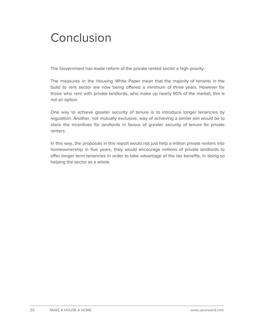### **Conclusion**

The Government has made reform of the private rented sector a high priority.

The measures in the Housing White Paper mean that the majority of tenants in the build to rent sector are now being offered a minimum of three years. However for those who rent with private landlords, who make up nearly 90% of the market, this is not an option.

One way to achieve greater security of tenure is to introduce longer tenancies by regulation. Another, not mutually exclusive, way of achieving a similar aim would be to stack the incentives for landlords in favour of greater security of tenure for private renters.

In this way, the proposals in this report would not just help a million private renters into homeownership in five years, they would encourage millions of private landlords to offer longer term tenancies in order to take advantage of the tax benefits, in doing so helping the sector as a whole.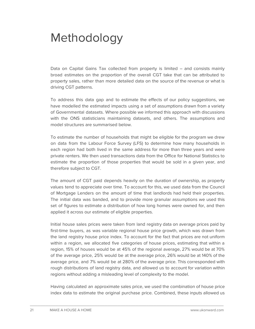### Methodology

Data on Capital Gains Tax collected from property is limited – and consists mainly broad estimates on the proportion of the overall CGT take that can be attributed to property sales, rather than more detailed data on the source of the revenue or what is driving CGT patterns.

To address this data gap and to estimate the effects of our policy suggestions, we have modelled the estimated impacts using a set of assumptions drawn from a variety of Governmental datasets. Where possible we informed this approach with discussions with the ONS statisticians maintaining datasets, and others. The assumptions and model structures are summarised below.

To estimate the number of households that might be eligible for the program we drew on data from the Labour Force Survey (LFS) to determine how many households in each region had both lived in the same address for more than three years and were private renters. We then used transactions data from the Office for National Statistics to estimate the proportion of those properties that would be sold in a given year, and therefore subject to CGT.

The amount of CGT paid depends heavily on the duration of ownership, as property values tend to appreciate over time. To account for this, we used data from the Council of Mortgage Lenders on the amount of time that landlords had held their properties. The initial data was banded, and to provide more granular assumptions we used this set of figures to estimate a distribution of how long homes were owned for, and then applied it across our estimate of eligible properties.

Initial house sales prices were taken from land registry data on average prices paid by first-time buyers, as was variable regional house price growth, which was drawn from the land registry house price index. To account for the fact that prices are not uniform within a region, we allocated five categories of house prices, estimating that within a region, 15% of houses would be at 45% of the regional average, 27% would be at 70% of the average price, 25% would be at the average price, 26% would be at 140% of the average price, and 7% would be at 280% of the average price. This corresponded with rough distributions of land registry data, and allowed us to account for variation within regions without adding a misleading level of complexity to the model.

Having calculated an approximate sales price, we used the combination of house price index data to estimate the original purchase price. Combined, these inputs allowed us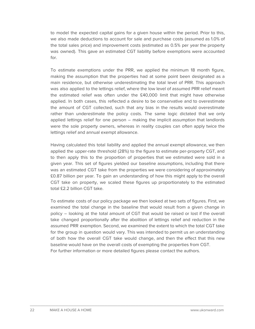to model the expected capital gains for a given house within the period. Prior to this, we also made deductions to account for sale and purchase costs (assumed as 1.0% of the total sales price) and improvement costs (estimated as 0.5% per year the property was owned). This gave an estimated CGT liability before exemptions were accounted for.

To estimate exemptions under the PRR, we applied the minimum 18 month figure, making the assumption that the properties had at some point been designated as a main residence, but otherwise underestimating the total level of PRR. This approach was also applied to the lettings relief, where the low level of assumed PRR relief meant the estimated relief was often under the £40,000 limit that might have otherwise applied. In both cases, this reflected a desire to be conservative and to overestimate the amount of CGT collected, such that any bias in the results would overestimate rather than underestimate the policy costs. The same logic dictated that we only applied lettings relief for one person – making the implicit assumption that landlords were the sole property owners, whereas in reality couples can often apply twice the lettings relief and annual exempt allowance.

Having calculated this total liability and applied the annual exempt allowance, we then applied the upper-rate threshold (28%) to the figure to estimate per-property CGT, and to then apply this to the proportion of properties that we estimated were sold in a given year. This set of figures yielded our baseline assumptions, including that there was an estimated CGT take from the properties we were considering of approximately £0.87 billion per year. To gain an understanding of how this might apply to the overall CGT take on property, we scaled these figures up proportionately to the estimated total £2.2 billion CGT take.

To estimate costs of our policy package we then looked at two sets of figures. First, we examined the total change in the baseline that would result from a given change in policy – looking at the total amount of CGT that would be raised or lost if the overall take changed proportionally after the abolition of lettings relief and reduction in the assumed PRR exemption. Second, we examined the extent to which the total CGT take for the group in question would vary. This was intended to permit us an understanding of both how the overall CGT take would change, and then the effect that this new baseline would have on the overall costs of exempting the properties from CGT. For further information or more detailed figures please contact the authors.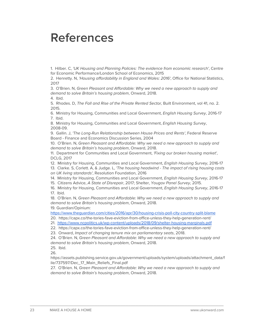### **References**

1. Hilber. C, 'UK Housing and Planning Policies: The evidence from economic research', Centre for Economic Performance/London School of Economics, 2015

2. Henretty. N, 'Housing affordability in England and Wales: 2016', Office for National Statistics, 2017

3. O'Brien. N, Green Pleasant and Affordable: Why we need a new approach to supply and demand to solve Britain's housing problem, Onward, 2018.

4. Ibid.

5. Rhodes. D, The Fall and Rise of the Private Rented Sector, Built Environment, vol 41, no. 2. 2015.

6. Ministry for Housing, Communities and Local Government, English Housing Survey, 2016-17 7. Ibid.

8. Ministry for Housing, Communities and Local Government, English Housing Survey, 2008-09.

9. Gallin. J, 'The Long-Run Relationship between House Prices and Rents', Federal Reserve Board - Finance and Economics Discussion Series, 2004

10. O'Brien. N, Green Pleasant and Affordable: Why we need a new approach to supply and demand to solve Britain's housing problem, Onward, 2018.

11. Department for Communities and Local Government, 'Fixing our broken housing market', DCLG, 2017

12. Ministry for Housing, Communities and Local Government, *English Housing Survey*, 2016-17

13. Clarke. S, Corlett. A, & Judge. L, 'The housing headwind - The impact of rising housing costs on UK living standards', Resolution Foundation, 2016

14. Ministry for Housing, Communities and Local Government, English Housing Survey, 2016-17

15. Citizens Advice, A State of Disrepair, 2017; Shelter, Yougov Panel Survey, 2015.

16. Ministry for Housing, Communities and Local Government, *English Housing Survey*, 2016-17 17. Ibid.

18. O'Brien. N, Green Pleasant and Affordable: Why we need a new approach to supply and demand to solve Britain's housing problem, Onward, 2018.

19. Guardian/Opinium:

<https://www.theguardian.com/cities/2016/apr/30/housing-crisis-poll-city-country-split-blame>

20. https://capx.co/the-tories-fave-eviction-from-office-unless-they-help-generation-rent/

21. <https://www.ncpolitics.uk/wp-content/uploads/2018/09/shelter-housing-marginals.pdf>

22. https://capx.co/the-tories-fave-eviction-from-office-unless-they-help-generation-rent/

23. Onward, Impact of changing tenure mix on parliamentary seats, 2018.

24. O'Brien. N, Green Pleasant and Affordable: Why we need a new approach to supply and demand to solve Britain's housing problem, Onward, 2018.

25. Ibid.

26.

https://assets.publishing.service.gov.uk/government/uploads/system/uploads/attachment\_data/f ile/737597/Dec\_17\_Main\_Reliefs\_Final.pdf

27. O'Brien. N, Green Pleasant and Affordable: Why we need a new approach to supply and demand to solve Britain's housing problem, Onward, 2018.